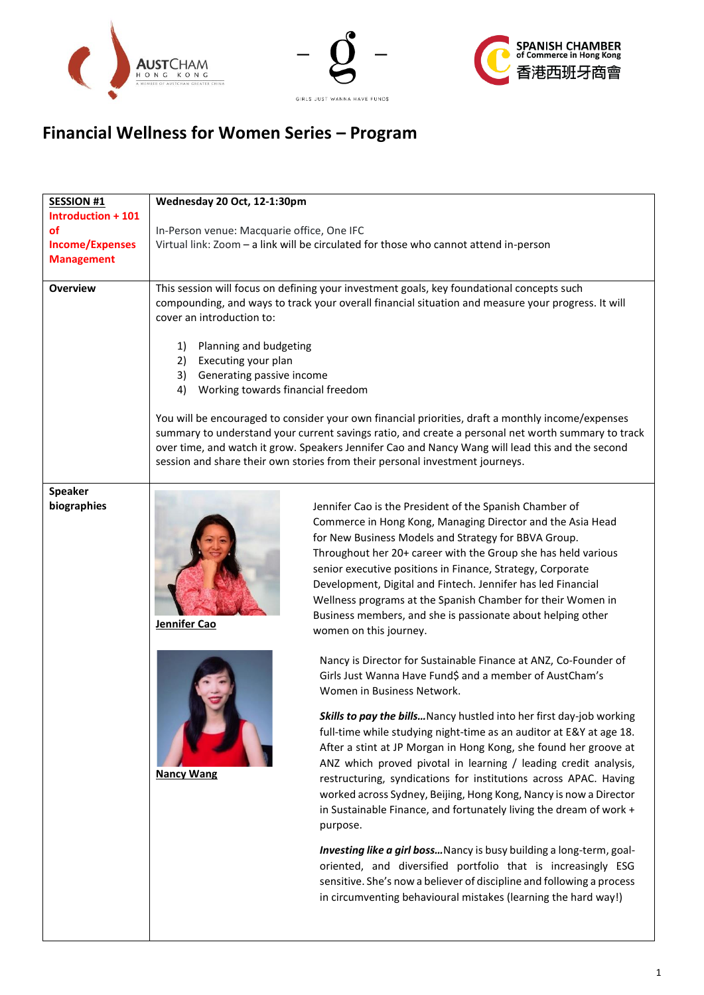





# **Financial Wellness for Women Series – Program**

| <b>SESSION #1</b><br>Introduction + 101 | Wednesday 20 Oct, 12-1:30pm                                                                                                                                                                                                                                                                                                                                                                 |                                                                                                                                                                                                                                                                                                                                                                                                                                                                                                                                      |
|-----------------------------------------|---------------------------------------------------------------------------------------------------------------------------------------------------------------------------------------------------------------------------------------------------------------------------------------------------------------------------------------------------------------------------------------------|--------------------------------------------------------------------------------------------------------------------------------------------------------------------------------------------------------------------------------------------------------------------------------------------------------------------------------------------------------------------------------------------------------------------------------------------------------------------------------------------------------------------------------------|
| οf                                      | In-Person venue: Macquarie office, One IFC                                                                                                                                                                                                                                                                                                                                                  |                                                                                                                                                                                                                                                                                                                                                                                                                                                                                                                                      |
| <b>Income/Expenses</b>                  |                                                                                                                                                                                                                                                                                                                                                                                             | Virtual link: Zoom - a link will be circulated for those who cannot attend in-person                                                                                                                                                                                                                                                                                                                                                                                                                                                 |
| <b>Management</b>                       |                                                                                                                                                                                                                                                                                                                                                                                             |                                                                                                                                                                                                                                                                                                                                                                                                                                                                                                                                      |
|                                         |                                                                                                                                                                                                                                                                                                                                                                                             |                                                                                                                                                                                                                                                                                                                                                                                                                                                                                                                                      |
| <b>Overview</b>                         | This session will focus on defining your investment goals, key foundational concepts such<br>compounding, and ways to track your overall financial situation and measure your progress. It will<br>cover an introduction to:<br>1)<br>Planning and budgeting                                                                                                                                |                                                                                                                                                                                                                                                                                                                                                                                                                                                                                                                                      |
|                                         | 2)<br>Executing your plan                                                                                                                                                                                                                                                                                                                                                                   |                                                                                                                                                                                                                                                                                                                                                                                                                                                                                                                                      |
|                                         | 3)<br>Generating passive income                                                                                                                                                                                                                                                                                                                                                             |                                                                                                                                                                                                                                                                                                                                                                                                                                                                                                                                      |
|                                         | Working towards financial freedom<br>4)                                                                                                                                                                                                                                                                                                                                                     |                                                                                                                                                                                                                                                                                                                                                                                                                                                                                                                                      |
|                                         | You will be encouraged to consider your own financial priorities, draft a monthly income/expenses<br>summary to understand your current savings ratio, and create a personal net worth summary to track<br>over time, and watch it grow. Speakers Jennifer Cao and Nancy Wang will lead this and the second<br>session and share their own stories from their personal investment journeys. |                                                                                                                                                                                                                                                                                                                                                                                                                                                                                                                                      |
| <b>Speaker</b>                          |                                                                                                                                                                                                                                                                                                                                                                                             |                                                                                                                                                                                                                                                                                                                                                                                                                                                                                                                                      |
| biographies                             | Jennifer Cao                                                                                                                                                                                                                                                                                                                                                                                | Jennifer Cao is the President of the Spanish Chamber of<br>Commerce in Hong Kong, Managing Director and the Asia Head<br>for New Business Models and Strategy for BBVA Group.<br>Throughout her 20+ career with the Group she has held various<br>senior executive positions in Finance, Strategy, Corporate<br>Development, Digital and Fintech. Jennifer has led Financial<br>Wellness programs at the Spanish Chamber for their Women in<br>Business members, and she is passionate about helping other<br>women on this journey. |
|                                         |                                                                                                                                                                                                                                                                                                                                                                                             | Nancy is Director for Sustainable Finance at ANZ, Co-Founder of<br>Girls Just Wanna Have Fund\$ and a member of AustCham's<br>Women in Business Network.                                                                                                                                                                                                                                                                                                                                                                             |
|                                         | <b>Nancy Wang</b>                                                                                                                                                                                                                                                                                                                                                                           | Skills to pay the bills Nancy hustled into her first day-job working<br>full-time while studying night-time as an auditor at E&Y at age 18.<br>After a stint at JP Morgan in Hong Kong, she found her groove at<br>ANZ which proved pivotal in learning / leading credit analysis,<br>restructuring, syndications for institutions across APAC. Having<br>worked across Sydney, Beijing, Hong Kong, Nancy is now a Director<br>in Sustainable Finance, and fortunately living the dream of work +<br>purpose.                        |
|                                         |                                                                                                                                                                                                                                                                                                                                                                                             | Investing like a girl boss Nancy is busy building a long-term, goal-<br>oriented, and diversified portfolio that is increasingly ESG<br>sensitive. She's now a believer of discipline and following a process<br>in circumventing behavioural mistakes (learning the hard way!)                                                                                                                                                                                                                                                      |
|                                         |                                                                                                                                                                                                                                                                                                                                                                                             |                                                                                                                                                                                                                                                                                                                                                                                                                                                                                                                                      |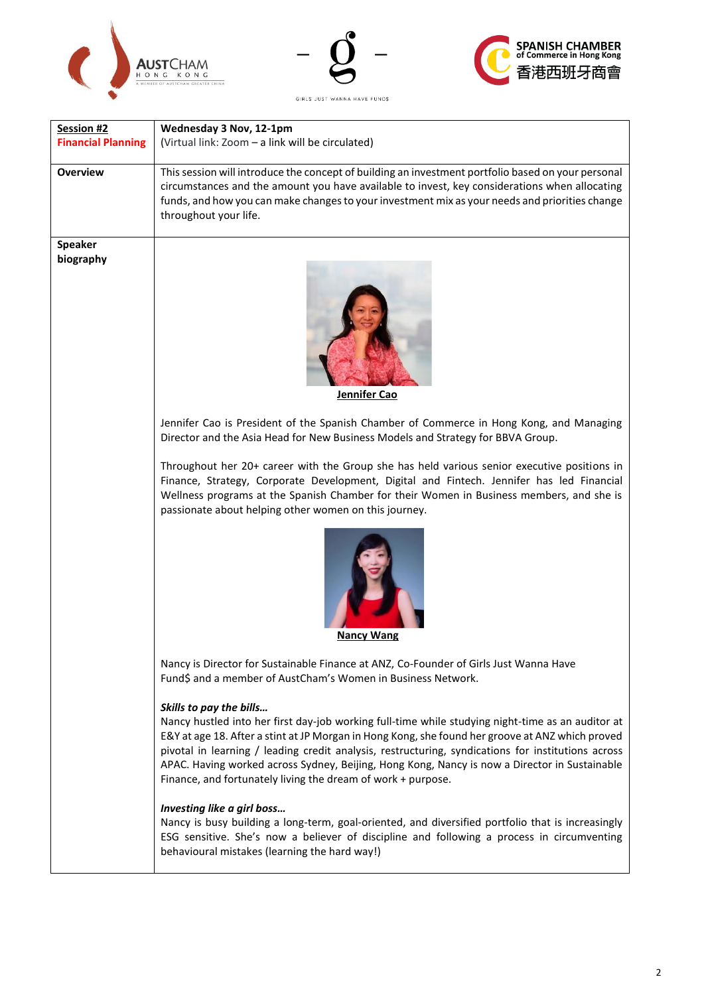





GIRLS JUST WANNA HAVE FUND\$

| Session #2                | Wednesday 3 Nov, 12-1pm                                                                                                                                                                                                                                                                                                                                                                                                                                                                                 |  |
|---------------------------|---------------------------------------------------------------------------------------------------------------------------------------------------------------------------------------------------------------------------------------------------------------------------------------------------------------------------------------------------------------------------------------------------------------------------------------------------------------------------------------------------------|--|
| <b>Financial Planning</b> | (Virtual link: Zoom - a link will be circulated)                                                                                                                                                                                                                                                                                                                                                                                                                                                        |  |
| <b>Overview</b>           | This session will introduce the concept of building an investment portfolio based on your personal<br>circumstances and the amount you have available to invest, key considerations when allocating<br>funds, and how you can make changes to your investment mix as your needs and priorities change<br>throughout your life.                                                                                                                                                                          |  |
| <b>Speaker</b>            |                                                                                                                                                                                                                                                                                                                                                                                                                                                                                                         |  |
| biography                 | Jennifer Cao                                                                                                                                                                                                                                                                                                                                                                                                                                                                                            |  |
|                           | Jennifer Cao is President of the Spanish Chamber of Commerce in Hong Kong, and Managing<br>Director and the Asia Head for New Business Models and Strategy for BBVA Group.                                                                                                                                                                                                                                                                                                                              |  |
|                           | Throughout her 20+ career with the Group she has held various senior executive positions in<br>Finance, Strategy, Corporate Development, Digital and Fintech. Jennifer has led Financial<br>Wellness programs at the Spanish Chamber for their Women in Business members, and she is<br>passionate about helping other women on this journey.                                                                                                                                                           |  |
|                           | <b>Nancy Wang</b>                                                                                                                                                                                                                                                                                                                                                                                                                                                                                       |  |
|                           | Nancy is Director for Sustainable Finance at ANZ, Co-Founder of Girls Just Wanna Have<br>Fund\$ and a member of AustCham's Women in Business Network.                                                                                                                                                                                                                                                                                                                                                   |  |
|                           | Skills to pay the bills<br>Nancy hustled into her first day-job working full-time while studying night-time as an auditor at<br>E&Y at age 18. After a stint at JP Morgan in Hong Kong, she found her groove at ANZ which proved<br>pivotal in learning / leading credit analysis, restructuring, syndications for institutions across<br>APAC. Having worked across Sydney, Beijing, Hong Kong, Nancy is now a Director in Sustainable<br>Finance, and fortunately living the dream of work + purpose. |  |
|                           | Investing like a girl boss<br>Nancy is busy building a long-term, goal-oriented, and diversified portfolio that is increasingly<br>ESG sensitive. She's now a believer of discipline and following a process in circumventing<br>behavioural mistakes (learning the hard way!)                                                                                                                                                                                                                          |  |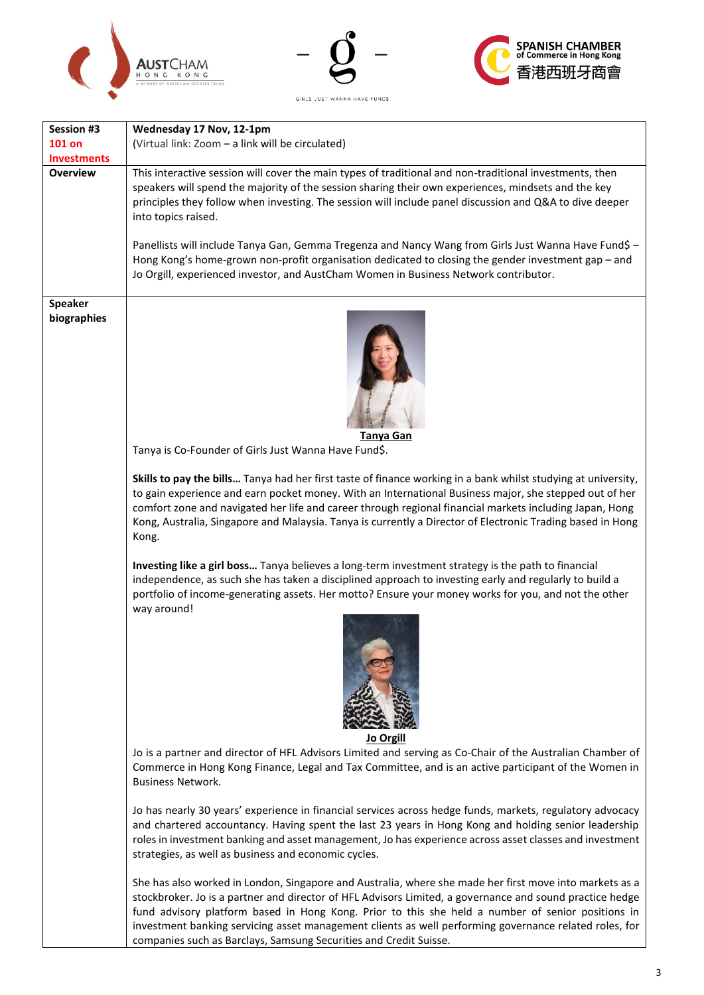





| Session #3         | Wednesday 17 Nov, 12-1pm                                                                                                                                                                                                                                                                                                                                                                                                                                                                                |
|--------------------|---------------------------------------------------------------------------------------------------------------------------------------------------------------------------------------------------------------------------------------------------------------------------------------------------------------------------------------------------------------------------------------------------------------------------------------------------------------------------------------------------------|
| <b>101 on</b>      | (Virtual link: Zoom - a link will be circulated)                                                                                                                                                                                                                                                                                                                                                                                                                                                        |
| <b>Investments</b> |                                                                                                                                                                                                                                                                                                                                                                                                                                                                                                         |
| <b>Overview</b>    | This interactive session will cover the main types of traditional and non-traditional investments, then<br>speakers will spend the majority of the session sharing their own experiences, mindsets and the key<br>principles they follow when investing. The session will include panel discussion and Q&A to dive deeper<br>into topics raised.                                                                                                                                                        |
|                    | Panellists will include Tanya Gan, Gemma Tregenza and Nancy Wang from Girls Just Wanna Have Fund\$ -<br>Hong Kong's home-grown non-profit organisation dedicated to closing the gender investment gap - and<br>Jo Orgill, experienced investor, and AustCham Women in Business Network contributor.                                                                                                                                                                                                     |
| <b>Speaker</b>     |                                                                                                                                                                                                                                                                                                                                                                                                                                                                                                         |
| biographies        | Tanya Gan<br>Tanya is Co-Founder of Girls Just Wanna Have Fund\$.                                                                                                                                                                                                                                                                                                                                                                                                                                       |
|                    | Skills to pay the bills Tanya had her first taste of finance working in a bank whilst studying at university,<br>to gain experience and earn pocket money. With an International Business major, she stepped out of her<br>comfort zone and navigated her life and career through regional financial markets including Japan, Hong<br>Kong, Australia, Singapore and Malaysia. Tanya is currently a Director of Electronic Trading based in Hong                                                        |
|                    | Kong.                                                                                                                                                                                                                                                                                                                                                                                                                                                                                                   |
|                    | Investing like a girl boss Tanya believes a long-term investment strategy is the path to financial<br>independence, as such she has taken a disciplined approach to investing early and regularly to build a<br>portfolio of income-generating assets. Her motto? Ensure your money works for you, and not the other<br>way around!                                                                                                                                                                     |
|                    | Jo Orgill                                                                                                                                                                                                                                                                                                                                                                                                                                                                                               |
|                    | Jo is a partner and director of HFL Advisors Limited and serving as Co-Chair of the Australian Chamber of<br>Commerce in Hong Kong Finance, Legal and Tax Committee, and is an active participant of the Women in<br><b>Business Network.</b>                                                                                                                                                                                                                                                           |
|                    | Jo has nearly 30 years' experience in financial services across hedge funds, markets, regulatory advocacy<br>and chartered accountancy. Having spent the last 23 years in Hong Kong and holding senior leadership<br>roles in investment banking and asset management, Jo has experience across asset classes and investment<br>strategies, as well as business and economic cycles.                                                                                                                    |
|                    | She has also worked in London, Singapore and Australia, where she made her first move into markets as a<br>stockbroker. Jo is a partner and director of HFL Advisors Limited, a governance and sound practice hedge<br>fund advisory platform based in Hong Kong. Prior to this she held a number of senior positions in<br>investment banking servicing asset management clients as well performing governance related roles, for<br>companies such as Barclays, Samsung Securities and Credit Suisse. |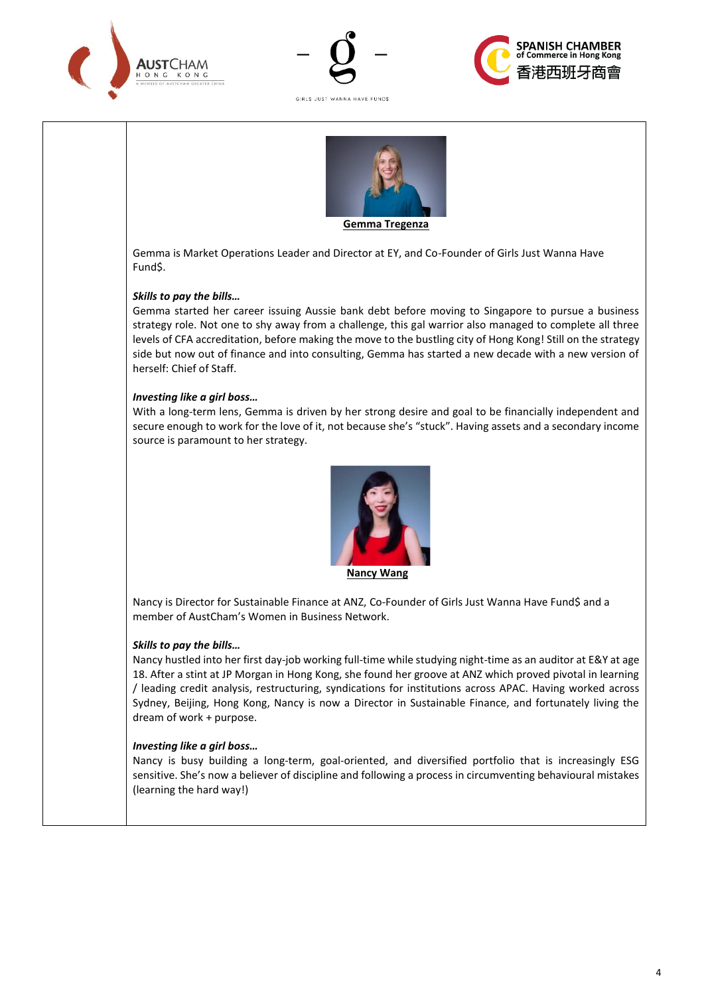





GIRLS JUST WANNA HAVE FUNDS



Gemma is Market Operations Leader and Director at EY, and Co-Founder of Girls Just Wanna Have Fund\$.

## *Skills to pay the bills…*

Gemma started her career issuing Aussie bank debt before moving to Singapore to pursue a business strategy role. Not one to shy away from a challenge, this gal warrior also managed to complete all three levels of CFA accreditation, before making the move to the bustling city of Hong Kong! Still on the strategy side but now out of finance and into consulting, Gemma has started a new decade with a new version of herself: Chief of Staff.

#### *Investing like a girl boss…*

With a long-term lens, Gemma is driven by her strong desire and goal to be financially independent and secure enough to work for the love of it, not because she's "stuck". Having assets and a secondary income source is paramount to her strategy.



 **Nancy Wang**

Nancy is Director for Sustainable Finance at ANZ, Co-Founder of Girls Just Wanna Have Fund\$ and a member of AustCham's Women in Business Network.

#### *Skills to pay the bills…*

Nancy hustled into her first day-job working full-time while studying night-time as an auditor at E&Y at age 18. After a stint at JP Morgan in Hong Kong, she found her groove at ANZ which proved pivotal in learning / leading credit analysis, restructuring, syndications for institutions across APAC. Having worked across Sydney, Beijing, Hong Kong, Nancy is now a Director in Sustainable Finance, and fortunately living the dream of work + purpose.

#### *Investing like a girl boss…*

Nancy is busy building a long-term, goal-oriented, and diversified portfolio that is increasingly ESG sensitive. She's now a believer of discipline and following a process in circumventing behavioural mistakes (learning the hard way!)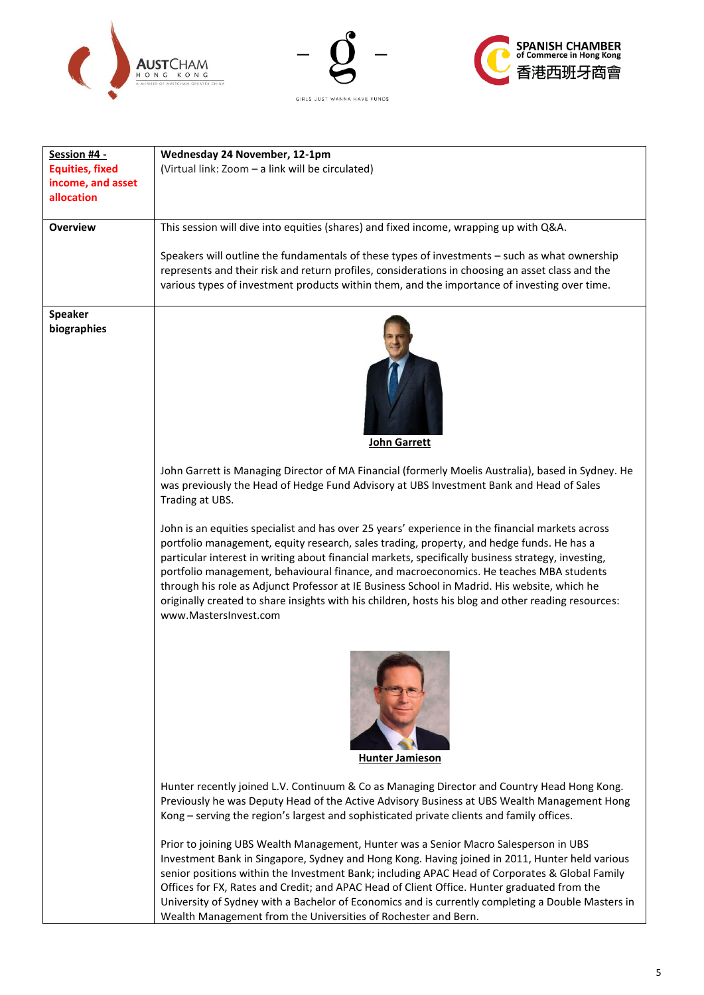





| Session #4 -           | Wednesday 24 November, 12-1pm                                                                                                |
|------------------------|------------------------------------------------------------------------------------------------------------------------------|
| <b>Equities, fixed</b> | (Virtual link: Zoom - a link will be circulated)                                                                             |
| income, and asset      |                                                                                                                              |
| allocation             |                                                                                                                              |
|                        |                                                                                                                              |
| <b>Overview</b>        | This session will dive into equities (shares) and fixed income, wrapping up with Q&A.                                        |
|                        |                                                                                                                              |
|                        | Speakers will outline the fundamentals of these types of investments - such as what ownership                                |
|                        | represents and their risk and return profiles, considerations in choosing an asset class and the                             |
|                        | various types of investment products within them, and the importance of investing over time.                                 |
|                        |                                                                                                                              |
| <b>Speaker</b>         |                                                                                                                              |
| biographies            |                                                                                                                              |
|                        |                                                                                                                              |
|                        |                                                                                                                              |
|                        |                                                                                                                              |
|                        |                                                                                                                              |
|                        |                                                                                                                              |
|                        |                                                                                                                              |
|                        |                                                                                                                              |
|                        | John Garrett                                                                                                                 |
|                        |                                                                                                                              |
|                        | John Garrett is Managing Director of MA Financial (formerly Moelis Australia), based in Sydney. He                           |
|                        | was previously the Head of Hedge Fund Advisory at UBS Investment Bank and Head of Sales                                      |
|                        | Trading at UBS.                                                                                                              |
|                        |                                                                                                                              |
|                        | John is an equities specialist and has over 25 years' experience in the financial markets across                             |
|                        | portfolio management, equity research, sales trading, property, and hedge funds. He has a                                    |
|                        | particular interest in writing about financial markets, specifically business strategy, investing,                           |
|                        | portfolio management, behavioural finance, and macroeconomics. He teaches MBA students                                       |
|                        | through his role as Adjunct Professor at IE Business School in Madrid. His website, which he                                 |
|                        | originally created to share insights with his children, hosts his blog and other reading resources:<br>www.MastersInvest.com |
|                        |                                                                                                                              |
|                        |                                                                                                                              |
|                        |                                                                                                                              |
|                        |                                                                                                                              |
|                        |                                                                                                                              |
|                        |                                                                                                                              |
|                        |                                                                                                                              |
|                        |                                                                                                                              |
|                        |                                                                                                                              |
|                        | <b>Hunter Jamieson</b>                                                                                                       |
|                        |                                                                                                                              |
|                        | Hunter recently joined L.V. Continuum & Co as Managing Director and Country Head Hong Kong.                                  |
|                        | Previously he was Deputy Head of the Active Advisory Business at UBS Wealth Management Hong                                  |
|                        | Kong - serving the region's largest and sophisticated private clients and family offices.                                    |
|                        |                                                                                                                              |
|                        | Prior to joining UBS Wealth Management, Hunter was a Senior Macro Salesperson in UBS                                         |
|                        | Investment Bank in Singapore, Sydney and Hong Kong. Having joined in 2011, Hunter held various                               |
|                        | senior positions within the Investment Bank; including APAC Head of Corporates & Global Family                               |
|                        | Offices for FX, Rates and Credit; and APAC Head of Client Office. Hunter graduated from the                                  |
|                        | University of Sydney with a Bachelor of Economics and is currently completing a Double Masters in                            |
|                        | Wealth Management from the Universities of Rochester and Bern.                                                               |
|                        |                                                                                                                              |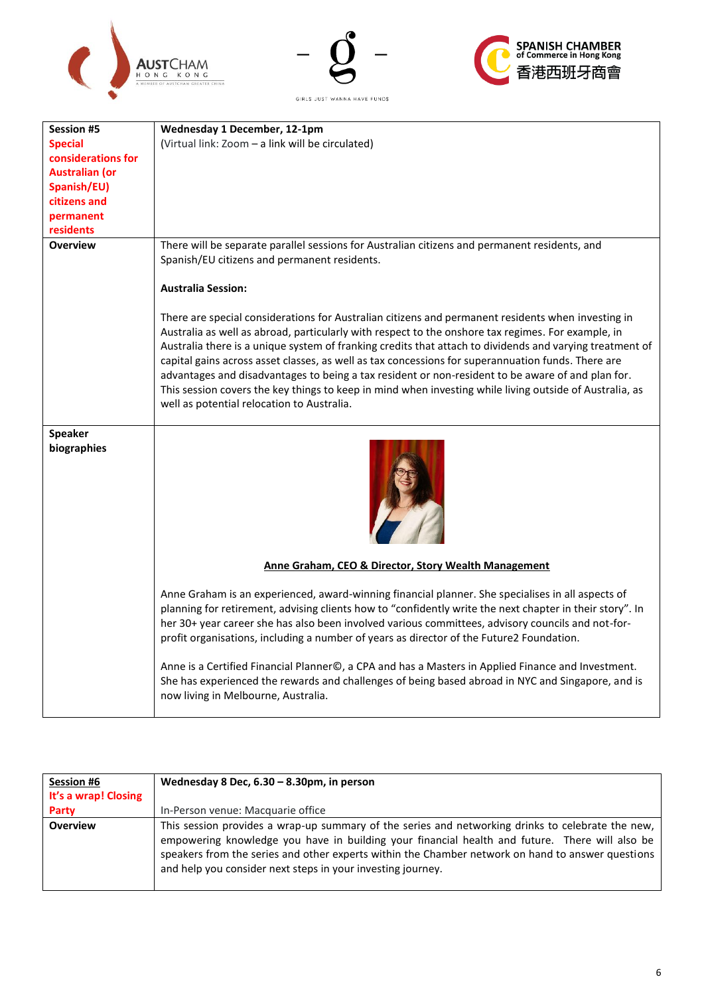





| Session #5                    | Wednesday 1 December, 12-1pm                                                                                                                                                                                                                                                                                                                                                                                                                                                                                                                                                                                                                                                             |  |
|-------------------------------|------------------------------------------------------------------------------------------------------------------------------------------------------------------------------------------------------------------------------------------------------------------------------------------------------------------------------------------------------------------------------------------------------------------------------------------------------------------------------------------------------------------------------------------------------------------------------------------------------------------------------------------------------------------------------------------|--|
| <b>Special</b>                | (Virtual link: Zoom - a link will be circulated)                                                                                                                                                                                                                                                                                                                                                                                                                                                                                                                                                                                                                                         |  |
| considerations for            |                                                                                                                                                                                                                                                                                                                                                                                                                                                                                                                                                                                                                                                                                          |  |
| <b>Australian (or</b>         |                                                                                                                                                                                                                                                                                                                                                                                                                                                                                                                                                                                                                                                                                          |  |
| Spanish/EU)                   |                                                                                                                                                                                                                                                                                                                                                                                                                                                                                                                                                                                                                                                                                          |  |
| citizens and                  |                                                                                                                                                                                                                                                                                                                                                                                                                                                                                                                                                                                                                                                                                          |  |
| permanent                     |                                                                                                                                                                                                                                                                                                                                                                                                                                                                                                                                                                                                                                                                                          |  |
| residents                     |                                                                                                                                                                                                                                                                                                                                                                                                                                                                                                                                                                                                                                                                                          |  |
| <b>Overview</b>               | There will be separate parallel sessions for Australian citizens and permanent residents, and<br>Spanish/EU citizens and permanent residents.                                                                                                                                                                                                                                                                                                                                                                                                                                                                                                                                            |  |
|                               | <b>Australia Session:</b>                                                                                                                                                                                                                                                                                                                                                                                                                                                                                                                                                                                                                                                                |  |
|                               | There are special considerations for Australian citizens and permanent residents when investing in<br>Australia as well as abroad, particularly with respect to the onshore tax regimes. For example, in<br>Australia there is a unique system of franking credits that attach to dividends and varying treatment of<br>capital gains across asset classes, as well as tax concessions for superannuation funds. There are<br>advantages and disadvantages to being a tax resident or non-resident to be aware of and plan for.<br>This session covers the key things to keep in mind when investing while living outside of Australia, as<br>well as potential relocation to Australia. |  |
| <b>Speaker</b><br>biographies |                                                                                                                                                                                                                                                                                                                                                                                                                                                                                                                                                                                                                                                                                          |  |
|                               | Anne Graham, CEO & Director, Story Wealth Management                                                                                                                                                                                                                                                                                                                                                                                                                                                                                                                                                                                                                                     |  |
|                               | Anne Graham is an experienced, award-winning financial planner. She specialises in all aspects of<br>planning for retirement, advising clients how to "confidently write the next chapter in their story". In<br>her 30+ year career she has also been involved various committees, advisory councils and not-for-<br>profit organisations, including a number of years as director of the Future2 Foundation.                                                                                                                                                                                                                                                                           |  |
|                               | Anne is a Certified Financial Planner©, a CPA and has a Masters in Applied Finance and Investment.<br>She has experienced the rewards and challenges of being based abroad in NYC and Singapore, and is<br>now living in Melbourne, Australia.                                                                                                                                                                                                                                                                                                                                                                                                                                           |  |

| Session #6           | Wednesday 8 Dec, $6.30 - 8.30$ pm, in person                                                                                                                                                                                                                                                                                                                            |  |
|----------------------|-------------------------------------------------------------------------------------------------------------------------------------------------------------------------------------------------------------------------------------------------------------------------------------------------------------------------------------------------------------------------|--|
| It's a wrap! Closing |                                                                                                                                                                                                                                                                                                                                                                         |  |
| Party                | In-Person venue: Macquarie office                                                                                                                                                                                                                                                                                                                                       |  |
| <b>Overview</b>      | This session provides a wrap-up summary of the series and networking drinks to celebrate the new,<br>empowering knowledge you have in building your financial health and future. There will also be<br>speakers from the series and other experts within the Chamber network on hand to answer questions<br>and help you consider next steps in your investing journey. |  |